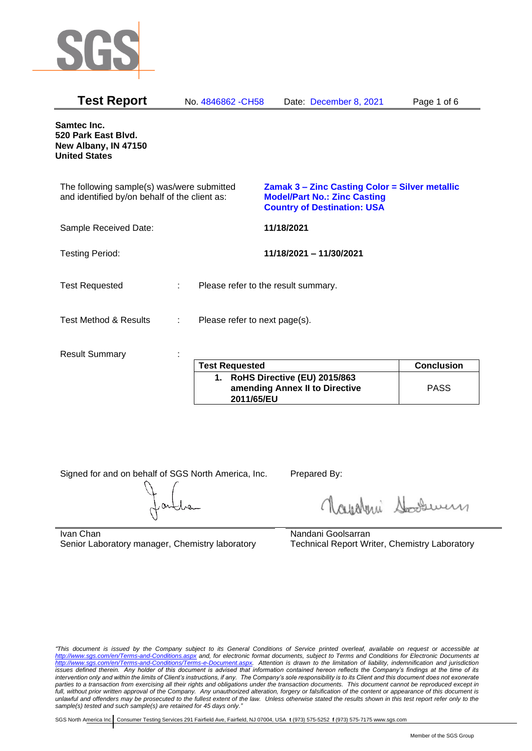

| <b>Test Report</b>                                                                          | No. 4846862 - CH58                  |            | Date: December 8, 2021                                                                                                             | Page 1 of 6       |
|---------------------------------------------------------------------------------------------|-------------------------------------|------------|------------------------------------------------------------------------------------------------------------------------------------|-------------------|
| Samtec Inc.<br>520 Park East Blvd.<br>New Albany, IN 47150<br><b>United States</b>          |                                     |            |                                                                                                                                    |                   |
| The following sample(s) was/were submitted<br>and identified by/on behalf of the client as: |                                     |            | <b>Zamak 3 – Zinc Casting Color = Silver metallic</b><br><b>Model/Part No.: Zinc Casting</b><br><b>Country of Destination: USA</b> |                   |
| Sample Received Date:                                                                       |                                     | 11/18/2021 |                                                                                                                                    |                   |
| <b>Testing Period:</b>                                                                      |                                     |            | 11/18/2021 - 11/30/2021                                                                                                            |                   |
| <b>Test Requested</b>                                                                       | Please refer to the result summary. |            |                                                                                                                                    |                   |
| <b>Test Method &amp; Results</b>                                                            | Please refer to next page(s).       |            |                                                                                                                                    |                   |
| <b>Result Summary</b>                                                                       |                                     |            |                                                                                                                                    |                   |
|                                                                                             | <b>Test Requested</b>               |            |                                                                                                                                    | <b>Conclusion</b> |

| <b>Test Requested</b>                                                           | <b>Conclusion</b> |
|---------------------------------------------------------------------------------|-------------------|
| 1. RoHS Directive (EU) 2015/863<br>amending Annex II to Directive<br>2011/65/EU | <b>PASS</b>       |

Signed for and on behalf of SGS North America, Inc. Prepared By:

Navaleni Soomun

Ivan Chan Senior Laboratory manager, Chemistry laboratory Nandani Goolsarran Technical Report Writer, Chemistry Laboratory

*"This document is issued by the Company subject to its General Conditions of Service printed overleaf, available on request or accessible at <http://www.sgs.com/en/Terms-and-Conditions.aspx> and, for electronic format documents, subject to Terms and Conditions for Electronic Documents at [http://www.sgs.com/en/Terms-and-Conditions/Terms-e-Document.aspx.](http://www.sgs.com/en/Terms-and-Conditions/Terms-e-Document.aspx) Attention is drawn to the limitation of liability, indemnification and jurisdiction issues defined therein. Any holder of this document is advised that information contained hereon reflects the Company's findings at the time of its intervention only and within the limits of Client's instructions, if any. The Company's sole responsibility is to its Client and this document does not exonerate parties to a transaction from exercising all their rights and obligations under the transaction documents. This document cannot be reproduced except in full, without prior written approval of the Company. Any unauthorized alteration, forgery or falsification of the content or appearance of this document is unlawful and offenders may be prosecuted to the fullest extent of the law. Unless otherwise stated the results shown in this test report refer only to the sample(s) tested and such sample(s) are retained for 45 days only."*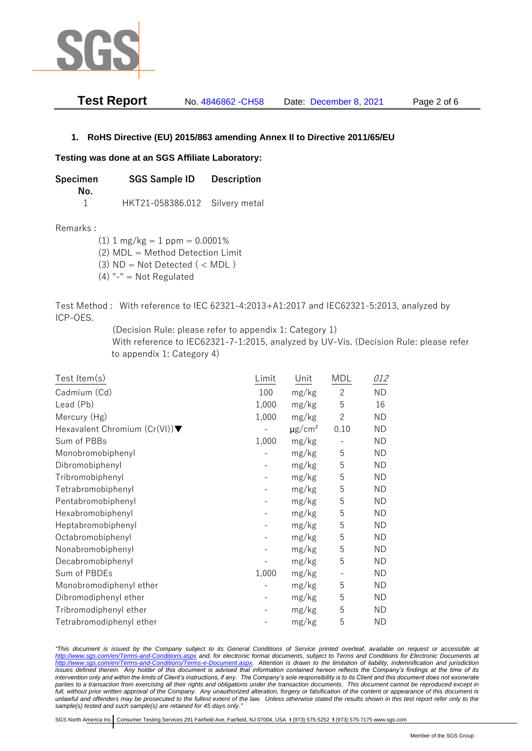

| Test Report        | Page 2 of 6            |
|--------------------|------------------------|
| No. 4846862 - CH58 | Date: December 8, 2021 |

## **1. RoHS Directive (EU) 2015/863 amending Annex II to Directive 2011/65/EU**

## **Testing was done at an SGS Affiliate Laboratory:**

**Specimen SGS Sample ID Description No.** 1 HKT21-058386.012 Silvery metal

Remarks :

 $(1)$  1 mg/kg = 1 ppm = 0.0001% (2) MDL = Method Detection Limit

 $(3)$  ND = Not Detected  $($  < MDL)

(4) "-" = Not Regulated

Test Method : With reference to IEC 62321-4:2013+A1:2017 and IEC62321-5:2013, analyzed by ICP-OES.

(Decision Rule: please refer to appendix 1: Category 1)

With reference to IEC62321-7-1:2015, analyzed by UV-Vis. (Decision Rule: please refer to appendix 1: Category 4)

| Test Item $(s)$                                  | Limit | Unit                    | MDL                      | 012       |
|--------------------------------------------------|-------|-------------------------|--------------------------|-----------|
| Cadmium (Cd)                                     | 100   | mg/kg                   | $\overline{2}$           | <b>ND</b> |
| Lead (Pb)                                        | 1,000 | mg/kg                   | 5                        | 16        |
| Mercury (Hg)                                     | 1,000 | mg/kg                   | $\mathbf{2}$             | ND.       |
| Hexavalent Chromium $(Cr(VI))\blacktriangledown$ |       | $\mu$ g/cm <sup>2</sup> | 0.10                     | <b>ND</b> |
| Sum of PBBs                                      | 1,000 | mg/kg                   |                          | ND.       |
| Monobromobiphenyl                                |       | mg/kg                   | 5                        | <b>ND</b> |
| Dibromobiphenyl                                  |       | mg/kg                   | 5                        | ND        |
| Tribromobiphenyl                                 |       | mg/kg                   | 5                        | <b>ND</b> |
| Tetrabromobiphenyl                               |       | mg/kg                   | 5                        | <b>ND</b> |
| Pentabromobiphenyl                               |       | mg/kg                   | 5                        | ND        |
| Hexabromobiphenyl                                |       | mg/kg                   | 5                        | <b>ND</b> |
| Heptabromobiphenyl                               |       | mg/kg                   | 5                        | <b>ND</b> |
| Octabromobiphenyl                                |       | mg/kg                   | 5                        | <b>ND</b> |
| Nonabromobiphenyl                                |       | mg/kg                   | 5                        | <b>ND</b> |
| Decabromobiphenyl                                |       | mg/kg                   | 5                        | ND.       |
| Sum of PBDEs                                     | 1,000 | mg/kg                   | $\overline{\phantom{a}}$ | <b>ND</b> |
| Monobromodiphenyl ether                          |       | mg/kg                   | 5                        | <b>ND</b> |
| Dibromodiphenyl ether                            |       | mg/kg                   | 5                        | ND.       |
| Tribromodiphenyl ether                           |       | mg/kg                   | 5                        | <b>ND</b> |
| Tetrabromodiphenyl ether                         |       | mg/kg                   | 5                        | <b>ND</b> |

*"This document is issued by the Company subject to its General Conditions of Service printed overleaf, available on request or accessible at <http://www.sgs.com/en/Terms-and-Conditions.aspx> and, for electronic format documents, subject to Terms and Conditions for Electronic Documents at [http://www.sgs.com/en/Terms-and-Conditions/Terms-e-Document.aspx.](http://www.sgs.com/en/Terms-and-Conditions/Terms-e-Document.aspx) Attention is drawn to the limitation of liability, indemnification and jurisdiction issues defined therein. Any holder of this document is advised that information contained hereon reflects the Company's findings at the time of its intervention only and within the limits of Client's instructions, if any. The Company's sole responsibility is to its Client and this document does not exonerate parties to a transaction from exercising all their rights and obligations under the transaction documents. This document cannot be reproduced except in full, without prior written approval of the Company. Any unauthorized alteration, forgery or falsification of the content or appearance of this document is unlawful and offenders may be prosecuted to the fullest extent of the law. Unless otherwise stated the results shown in this test report refer only to the sample(s) tested and such sample(s) are retained for 45 days only."*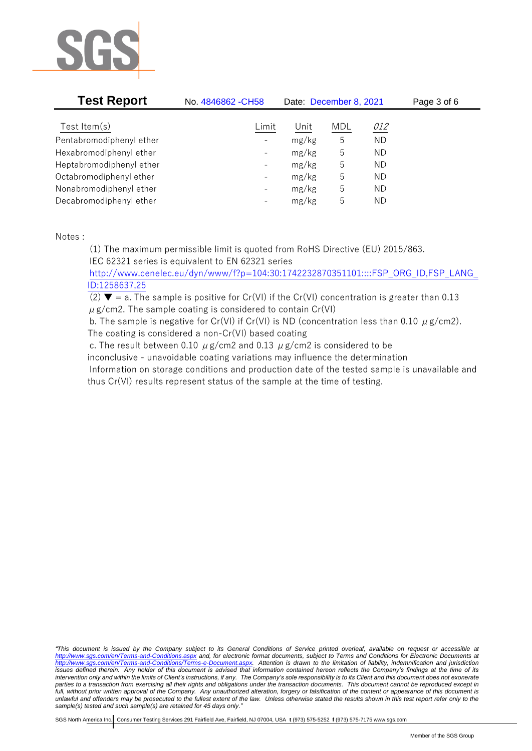

| <b>Test Report</b>       | No. 4846862 - CH58       | Date: December 8, 2021 |            |           | Page 3 of 6 |
|--------------------------|--------------------------|------------------------|------------|-----------|-------------|
| Test Item $(s)$          | Limit                    | Unit                   | <b>MDL</b> | 012       |             |
| Pentabromodiphenyl ether | $\overline{\phantom{0}}$ | mg/kg                  | 5          | <b>ND</b> |             |
| Hexabromodiphenyl ether  | -                        | mg/kg                  | 5          | ND        |             |
| Heptabromodiphenyl ether | $\qquad \qquad -$        | mg/kg                  | 5          | ND        |             |
| Octabromodiphenyl ether  | $\overline{\phantom{0}}$ | mg/kg                  | 5          | ΝD        |             |
| Nonabromodiphenyl ether  | $\overline{\phantom{0}}$ | mg/kg                  | 5          | ND        |             |
| Decabromodiphenyl ether  | $\overline{\phantom{a}}$ | mg/kg                  | 5          | ND        |             |

Notes :

(1) The maximum permissible limit is quoted from RoHS Directive (EU) 2015/863. IEC 62321 series is equivalent to EN 62321 series

[http://www.cenelec.eu/dyn/www/f?p=104:30:1742232870351101::::FSP\\_ORG\\_ID,FSP\\_LANG\\_](http://www.cenelec.eu/dyn/www/f?p=104:30:1742232870351101::::FSP_ORG_ID,FSP_LANG_ID:1258637,25) [ID:1258637,25](http://www.cenelec.eu/dyn/www/f?p=104:30:1742232870351101::::FSP_ORG_ID,FSP_LANG_ID:1258637,25)

(2)  $\blacktriangledown$  = a. The sample is positive for Cr(VI) if the Cr(VI) concentration is greater than 0.13  $\mu$  g/cm2. The sample coating is considered to contain Cr(VI)

b. The sample is negative for Cr(VI) if Cr(VI) is ND (concentration less than 0.10  $\mu$  g/cm2). The coating is considered a non-Cr(VI) based coating

c. The result between 0.10  $\mu$  g/cm2 and 0.13  $\mu$  g/cm2 is considered to be inconclusive - unavoidable coating variations may influence the determination Information on storage conditions and production date of the tested sample is unavailable and thus Cr(VI) results represent status of the sample at the time of testing.

*"This document is issued by the Company subject to its General Conditions of Service printed overleaf, available on request or accessible at <http://www.sgs.com/en/Terms-and-Conditions.aspx> and, for electronic format documents, subject to Terms and Conditions for Electronic Documents at [http://www.sgs.com/en/Terms-and-Conditions/Terms-e-Document.aspx.](http://www.sgs.com/en/Terms-and-Conditions/Terms-e-Document.aspx) Attention is drawn to the limitation of liability, indemnification and jurisdiction issues defined therein. Any holder of this document is advised that information contained hereon reflects the Company's findings at the time of its intervention only and within the limits of Client's instructions, if any. The Company's sole responsibility is to its Client and this document does not exonerate parties to a transaction from exercising all their rights and obligations under the transaction documents. This document cannot be reproduced except in full, without prior written approval of the Company. Any unauthorized alteration, forgery or falsification of the content or appearance of this document is unlawful and offenders may be prosecuted to the fullest extent of the law. Unless otherwise stated the results shown in this test report refer only to the sample(s) tested and such sample(s) are retained for 45 days only."*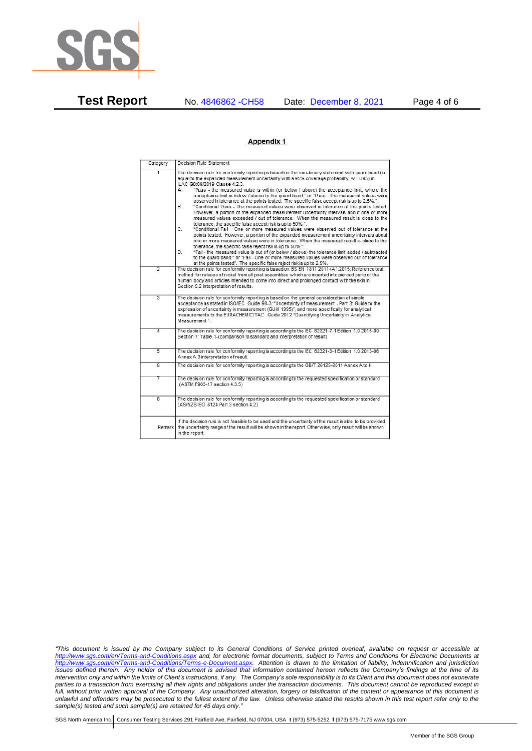

**Test Report** No. 4846862 -CH58 Date: December 8, 2021 Page 4 of 6

## Appendix 1

| Category       | Decision Rule Statement                                                                                                                                                                                                                                                                                                                                                                                                                                                                                                                                                                                                                                                                                                                                                                                                                                                                                                                                                                                                                                                                                                                                                                                                                                                                                                                                                                                                                    |  |  |  |  |
|----------------|--------------------------------------------------------------------------------------------------------------------------------------------------------------------------------------------------------------------------------------------------------------------------------------------------------------------------------------------------------------------------------------------------------------------------------------------------------------------------------------------------------------------------------------------------------------------------------------------------------------------------------------------------------------------------------------------------------------------------------------------------------------------------------------------------------------------------------------------------------------------------------------------------------------------------------------------------------------------------------------------------------------------------------------------------------------------------------------------------------------------------------------------------------------------------------------------------------------------------------------------------------------------------------------------------------------------------------------------------------------------------------------------------------------------------------------------|--|--|--|--|
| $\overline{1}$ | The decision rule for conformity reporting is based on the non-binary statement with quard band (is<br>equal to the expanded measurement uncertainty with a 95% coverage probability, w = U95) in<br>ILAC-G8:09/2019 Clause 4.2.3.<br>"Pass - the measured value is within (or below / above) the acceptance limit, where the<br>А.<br>acceptance limit is below / above to the quard band." or "Pass - The measured values were<br>observed in tolerance at the points tested. The specific false accept risk is up to 2.5%.".<br>"Conditional Pass - The measured values were observed in tolerance at the points tested.<br>В.<br>However, a portion of the expanded measurement uncertainty intervals about one or more<br>measured values exceeded / out of tolerance. When the measured result is close to the<br>tolerance, the specific false accept risk is up to 50%.".<br>C.<br>"Conditional Fail - One or more measured values were observed out of tolerance at the<br>points tested. However, a portion of the expanded measurement uncertainty intervals about<br>one or more measured values were in tolerance. When the measured result is close to the<br>tolerance, the specific false reject risk is up to 50%.".<br>"Fail - the measured value is out of (or below / above) the tolerance limit added / subtracted<br>D.<br>to the quard band." or "Fail - One or more measured values were observed out of tolerance |  |  |  |  |
| $\overline{2}$ | at the points tested". The specific false reject risk is up to 2.5%.<br>The decision rule for conformity reporting is based on BS EN 1811:2011+A1:2015: Reference test<br>method for release of nickel from all post assemblies which are inserted into pierced parts of the<br>human body and articles intended to come into direct and prolonged contact with the skin in<br>Section 9.2 interpretation of results.                                                                                                                                                                                                                                                                                                                                                                                                                                                                                                                                                                                                                                                                                                                                                                                                                                                                                                                                                                                                                      |  |  |  |  |
| $\overline{3}$ | The decision rule for conformity reporting is based on the general consideration of simple<br>acceptance as stated in ISO/IEC Guide 98-3: "Uncertainty of measurement - Part 3: Guide to the<br>expression of uncertainty in measurement (GUM 1995)", and more specifically for analytical<br>measurements to the EURACHEM/CITAC Guide 2012 "Quantifying Uncertainty in Analytical<br>Measurement *                                                                                                                                                                                                                                                                                                                                                                                                                                                                                                                                                                                                                                                                                                                                                                                                                                                                                                                                                                                                                                        |  |  |  |  |
| 4              | The decision rule for conformity reporting is according to the IEC 62321-7-1 Edition 1.0 2015-09<br>Section 7: Table 1-(comparison to standard and interpretation of result)                                                                                                                                                                                                                                                                                                                                                                                                                                                                                                                                                                                                                                                                                                                                                                                                                                                                                                                                                                                                                                                                                                                                                                                                                                                               |  |  |  |  |
| $\overline{5}$ | The decision rule for conformity reporting is according to the IEC 62321-3-1 Edition 1.0 2013-06<br>Annex A.3 interpretation of result.                                                                                                                                                                                                                                                                                                                                                                                                                                                                                                                                                                                                                                                                                                                                                                                                                                                                                                                                                                                                                                                                                                                                                                                                                                                                                                    |  |  |  |  |
| $\overline{6}$ | The decision rule for conformity reporting is according to the GB/T 26125-2011 Annex A to H                                                                                                                                                                                                                                                                                                                                                                                                                                                                                                                                                                                                                                                                                                                                                                                                                                                                                                                                                                                                                                                                                                                                                                                                                                                                                                                                                |  |  |  |  |
| 7              | The decision rule for conformity reporting is according to the requested specification or standard<br>(ASTM F963-17 section 4.3.5)                                                                                                                                                                                                                                                                                                                                                                                                                                                                                                                                                                                                                                                                                                                                                                                                                                                                                                                                                                                                                                                                                                                                                                                                                                                                                                         |  |  |  |  |
| $\overline{8}$ | The decision rule for conformity reporting is according to the requested specification or standard<br>(AS/NZS ISO 8124 Part 3 section 4.2)                                                                                                                                                                                                                                                                                                                                                                                                                                                                                                                                                                                                                                                                                                                                                                                                                                                                                                                                                                                                                                                                                                                                                                                                                                                                                                 |  |  |  |  |
| Remark         | If the decision rule is not feasible to be used and the uncertainty of the result is able to be provided.<br>the uncertainty range of the result will be shown in the report. Otherwise, only result will be shown<br>in the report.                                                                                                                                                                                                                                                                                                                                                                                                                                                                                                                                                                                                                                                                                                                                                                                                                                                                                                                                                                                                                                                                                                                                                                                                       |  |  |  |  |

*"This document is issued by the Company subject to its General Conditions of Service printed overleaf, available on request or accessible at <http://www.sgs.com/en/Terms-and-Conditions.aspx> and, for electronic format documents, subject to Terms and Conditions for Electronic Documents at [http://www.sgs.com/en/Terms-and-Conditions/Terms-e-Document.aspx.](http://www.sgs.com/en/Terms-and-Conditions/Terms-e-Document.aspx) Attention is drawn to the limitation of liability, indemnification and jurisdiction issues defined therein. Any holder of this document is advised that information contained hereon reflects the Company's findings at the time of its intervention only and within the limits of Client's instructions, if any. The Company's sole responsibility is to its Client and this document does not exonerate parties to a transaction from exercising all their rights and obligations under the transaction documents. This document cannot be reproduced except in full, without prior written approval of the Company. Any unauthorized alteration, forgery or falsification of the content or appearance of this document is unlawful and offenders may be prosecuted to the fullest extent of the law. Unless otherwise stated the results shown in this test report refer only to the sample(s) tested and such sample(s) are retained for 45 days only."*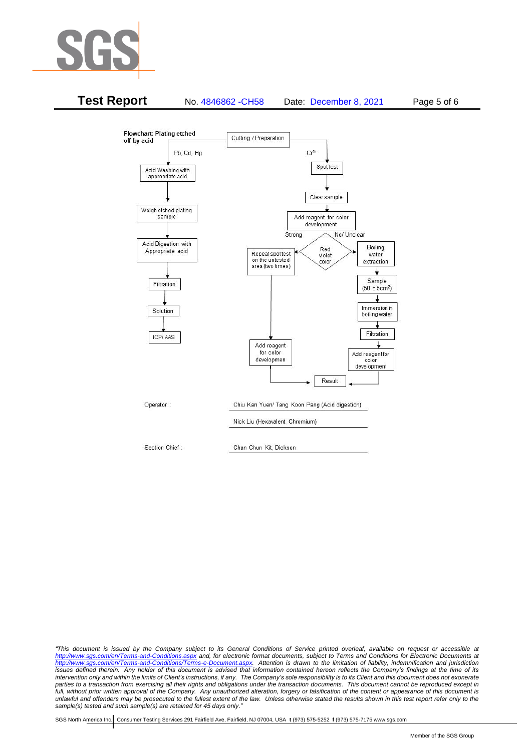



*"This document is issued by the Company subject to its General Conditions of Service printed overleaf, available on request or accessible at <http://www.sgs.com/en/Terms-and-Conditions.aspx> and, for electronic format documents, subject to Terms and Conditions for Electronic Documents at [http://www.sgs.com/en/Terms-and-Conditions/Terms-e-Document.aspx.](http://www.sgs.com/en/Terms-and-Conditions/Terms-e-Document.aspx) Attention is drawn to the limitation of liability, indemnification and jurisdiction issues defined therein. Any holder of this document is advised that information contained hereon reflects the Company's findings at the time of its intervention only and within the limits of Client's instructions, if any. The Company's sole responsibility is to its Client and this document does not exonerate*  parties to a transaction from exercising all their rights and obligations under the transaction documents. This document cannot be reproduced except in *full, without prior written approval of the Company. Any unauthorized alteration, forgery or falsification of the content or appearance of this document is unlawful and offenders may be prosecuted to the fullest extent of the law. Unless otherwise stated the results shown in this test report refer only to the sample(s) tested and such sample(s) are retained for 45 days only."*